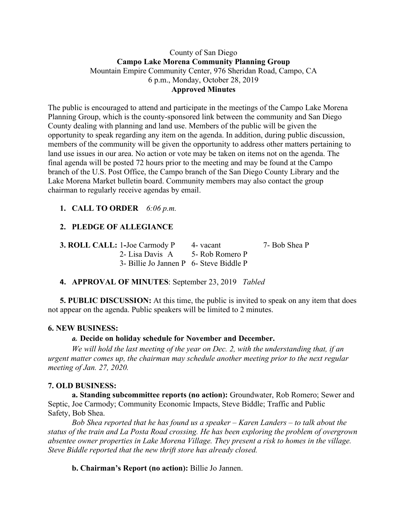### County of San Diego **Campo Lake Morena Community Planning Group** Mountain Empire Community Center, 976 Sheridan Road, Campo, CA 6 p.m., Monday, October 28, 2019 **Approved Minutes**

The public is encouraged to attend and participate in the meetings of the Campo Lake Morena Planning Group, which is the county-sponsored link between the community and San Diego County dealing with planning and land use. Members of the public will be given the opportunity to speak regarding any item on the agenda. In addition, during public discussion, members of the community will be given the opportunity to address other matters pertaining to land use issues in our area. No action or vote may be taken on items not on the agenda. The final agenda will be posted 72 hours prior to the meeting and may be found at the Campo branch of the U.S. Post Office, the Campo branch of the San Diego County Library and the Lake Morena Market bulletin board. Community members may also contact the group chairman to regularly receive agendas by email.

## **1. CALL TO ORDER** *6:06 p.m.*

# **2. PLEDGE OF ALLEGIANCE**

**3. ROLL CALL:** 1-Joe Carmody P 4- vacant 7- Bob Shea P 2- Lisa Davis A 5- Rob Romero P 3- Billie Jo Jannen P 6- Steve Biddle P

## **4. APPROVAL OF MINUTES**: September 23, 2019 *Tabled*

**5. PUBLIC DISCUSSION:** At this time, the public is invited to speak on any item that does not appear on the agenda. Public speakers will be limited to 2 minutes.

#### **6. NEW BUSINESS:**

#### **a. Decide on holiday schedule for November and December.**

*We will hold the last meeting of the year on Dec. 2, with the understanding that, if an urgent matter comes up, the chairman may schedule another meeting prior to the next regular meeting of Jan. 27, 2020.*

#### **7. OLD BUSINESS:**

**a. Standing subcommittee reports (no action):** Groundwater, Rob Romero; Sewer and Septic, Joe Carmody; Community Economic Impacts, Steve Biddle; Traffic and Public Safety, Bob Shea.

*Bob Shea reported that he has found us a speaker – Karen Landers – to talk about the status of the train and La Posta Road crossing. He has been exploring the problem of overgrown absentee owner properties in Lake Morena Village. They present a risk to homes in the village. Steve Biddle reported that the new thrift store has already closed.*

**b. Chairman's Report (no action):** Billie Jo Jannen.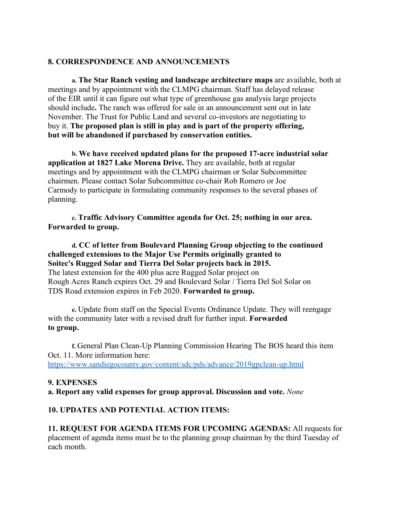#### **8. CORRESPONDENCE AND ANNOUNCEMENTS**

**a. The Star Ranch vesting and landscape architecture maps** are available, both at meetings and by appointment with the CLMPG chairman. Staff has delayed release of the EIR until it can figure out what type of greenhouse gas analysis large projects should include**.** The ranch was offered for sale in an announcement sent out in late November. The Trust for Public Land and several co-investors are negotiating to buy it. **The proposed plan is still in play and is part of the property offering, but will be abandoned if purchased by conservation entities.**

**b. We have received updated plans for the proposed 17-acre industrial solar application at 1827 Lake Morena Drive.** They are available, both at regular meetings and by appointment with the CLMPG chairman or Solar Subcommittee chairmen. Please contact Solar Subcommittee co-chair Rob Romero or Joe Carmody to participate in formulating community responses to the several phases of planning.

**c. Traffic Advisory Committee agenda for Oct. 25; nothing in our area. Forwarded to group.**

**d. CC of letter from Boulevard Planning Group objecting to the continued challenged extensions to the Major Use Permits originally granted to Soitec's Rugged Solar and Tierra Del Solar projects back in 2015.** The latest extension for the 400 plus acre Rugged Solar project on Rough Acres Ranch expires Oct. 29 and Boulevard Solar / Tierra Del Sol Solar on TDS Road extension expires in Feb 2020. **Forwarded to group.**

**e.** Update from staff on the Special Events Ordinance Update. They will reengage with the community later with a revised draft for further input. **Forwarded to group.**

**f.** General Plan Clean-Up Planning Commission Hearing The BOS heard this item Oct. 11. More information here: https://www.sandiegocounty.gov/content/sdc/pds/advance/2019gpclean-up.html

#### **9. EXPENSES**

**a. Report any valid expenses for group approval. Discussion and vote.** *None*

#### **10. UPDATES AND POTENTIAL ACTION ITEMS:**

**11. REQUEST FOR AGENDA ITEMS FOR UPCOMING AGENDAS:** All requests for placement of agenda items must be to the planning group chairman by the third Tuesday of each month.